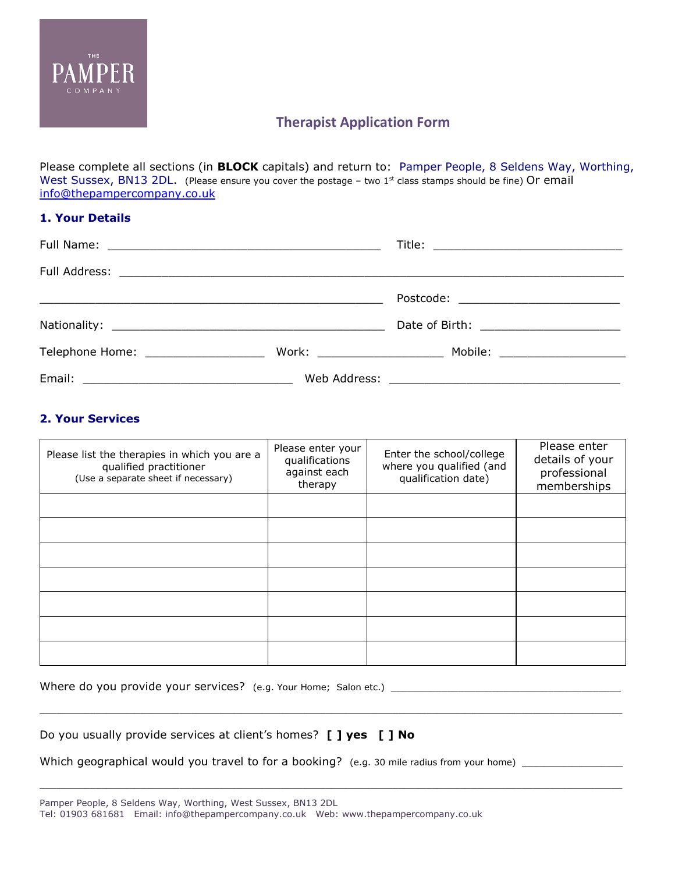

# **Therapist Application Form**

Please complete all sections (in **BLOCK** capitals) and return to: Pamper People, 8 Seldens Way, Worthing, West Sussex, BN13 2DL. (Please ensure you cover the postage - two 1st class stamps should be fine) Or email [info@thepampercompany.co.uk](mailto:info@thepampercompany.co.uk)

## **1. Your Details**

|                                      | Postcode: _____________________________ |  |
|--------------------------------------|-----------------------------------------|--|
|                                      | Date of Birth: _______________________  |  |
| Telephone Home: ____________________ |                                         |  |
|                                      |                                         |  |

# **2. Your Services**

| Please list the therapies in which you are a<br>qualified practitioner<br>(Use a separate sheet if necessary) | Please enter your<br>qualifications<br>against each<br>therapy | Enter the school/college<br>where you qualified (and<br>qualification date) | Please enter<br>details of your<br>professional<br>memberships |
|---------------------------------------------------------------------------------------------------------------|----------------------------------------------------------------|-----------------------------------------------------------------------------|----------------------------------------------------------------|
|                                                                                                               |                                                                |                                                                             |                                                                |
|                                                                                                               |                                                                |                                                                             |                                                                |
|                                                                                                               |                                                                |                                                                             |                                                                |
|                                                                                                               |                                                                |                                                                             |                                                                |
|                                                                                                               |                                                                |                                                                             |                                                                |
|                                                                                                               |                                                                |                                                                             |                                                                |
|                                                                                                               |                                                                |                                                                             |                                                                |

 $\mathcal{L}_\mathcal{L} = \{ \mathcal{L}_\mathcal{L} = \{ \mathcal{L}_\mathcal{L} = \{ \mathcal{L}_\mathcal{L} = \{ \mathcal{L}_\mathcal{L} = \{ \mathcal{L}_\mathcal{L} = \{ \mathcal{L}_\mathcal{L} = \{ \mathcal{L}_\mathcal{L} = \{ \mathcal{L}_\mathcal{L} = \{ \mathcal{L}_\mathcal{L} = \{ \mathcal{L}_\mathcal{L} = \{ \mathcal{L}_\mathcal{L} = \{ \mathcal{L}_\mathcal{L} = \{ \mathcal{L}_\mathcal{L} = \{ \mathcal{L}_\mathcal{$ 

| Where do you provide your services? (e.g. Your Home; Salon etc.) |  |  |
|------------------------------------------------------------------|--|--|
|------------------------------------------------------------------|--|--|

|  | Do you usually provide services at client's homes? [ ] yes [ ] No |  |  |
|--|-------------------------------------------------------------------|--|--|
|  |                                                                   |  |  |

Which geographical would you travel to for a booking? (e.g. 30 mile radius from your home) \_\_\_\_\_\_\_\_\_\_\_\_\_\_\_\_\_\_\_